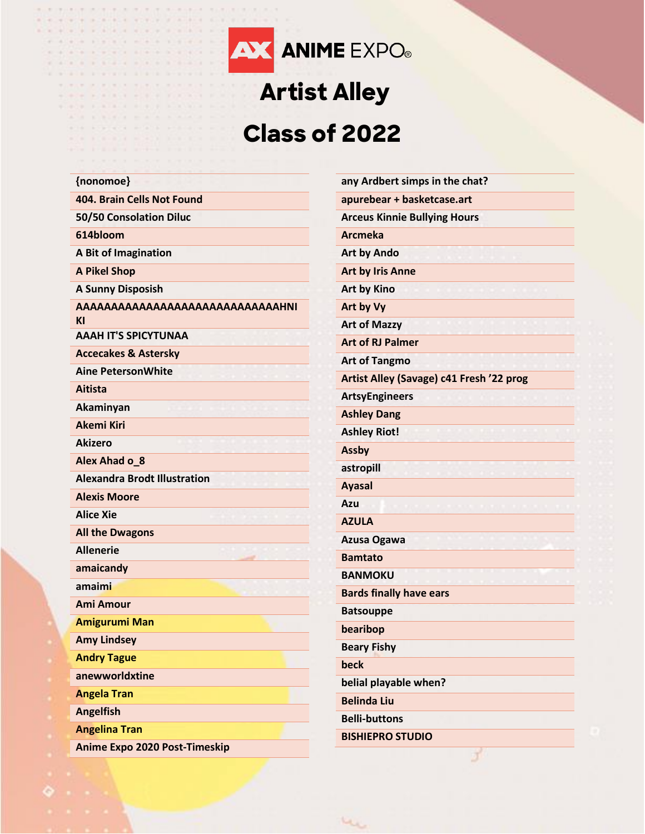

## **Artist Alley Class of 2022**

| {nonomoe}                           | any Ardbert simps in the chat?           |
|-------------------------------------|------------------------------------------|
| 404. Brain Cells Not Found          | apurebear + basketcase.art               |
| 50/50 Consolation Diluc             | <b>Arceus Kinnie Bullying Hours</b>      |
| 614bloom                            | <b>Arcmeka</b>                           |
| A Bit of Imagination                | <b>Art by Ando</b>                       |
| <b>A Pikel Shop</b>                 | <b>Art by Iris Anne</b>                  |
| <b>A Sunny Disposish</b>            | <b>Art by Kino</b>                       |
| AAAAAAAAAAAAAAAAAAAAAAAAAAAHNI      | Art by Vy                                |
| ΚI                                  | <b>Art of Mazzy</b>                      |
| <b>AAAH IT'S SPICYTUNAA</b>         | <b>Art of RJ Palmer</b>                  |
| <b>Accecakes &amp; Astersky</b>     | <b>Art of Tangmo</b>                     |
| <b>Aine PetersonWhite</b>           | Artist Alley (Savage) c41 Fresh '22 prog |
| <b>Aitista</b>                      | <b>ArtsyEngineers</b>                    |
| Akaminyan                           | <b>Ashley Dang</b>                       |
| <b>Akemi Kiri</b>                   | <b>Ashley Riot!</b>                      |
| <b>Akizero</b>                      | <b>Assby</b>                             |
| Alex Ahad o_8                       | astropill                                |
| <b>Alexandra Brodt Illustration</b> | <b>Ayasal</b>                            |
| <b>Alexis Moore</b>                 | Azu                                      |
| <b>Alice Xie</b>                    | <b>AZULA</b>                             |
| <b>All the Dwagons</b>              | Azusa Ogawa                              |
| <b>Allenerie</b>                    | <b>Bamtato</b>                           |
| amaicandy                           | <b>BANMOKU</b>                           |
| amaimi                              | <b>Bards finally have ears</b>           |
| <b>Ami Amour</b>                    | <b>Batsouppe</b>                         |
| <b>Amigurumi Man</b>                | bearibop                                 |
| <b>Amy Lindsey</b>                  | <b>Beary Fishy</b>                       |
| <b>Andry Tague</b>                  | beck                                     |
| anewworldxtine                      | belial playable when?                    |
| <b>Angela Tran</b>                  | <b>Belinda Liu</b>                       |
| <b>Angelfish</b>                    | <b>Belli-buttons</b>                     |
| <b>Angelina Tran</b>                | <b>BISHIEPRO STUDIO</b>                  |
| Anime Expo 2020 Post-Timeskip       |                                          |

بملاب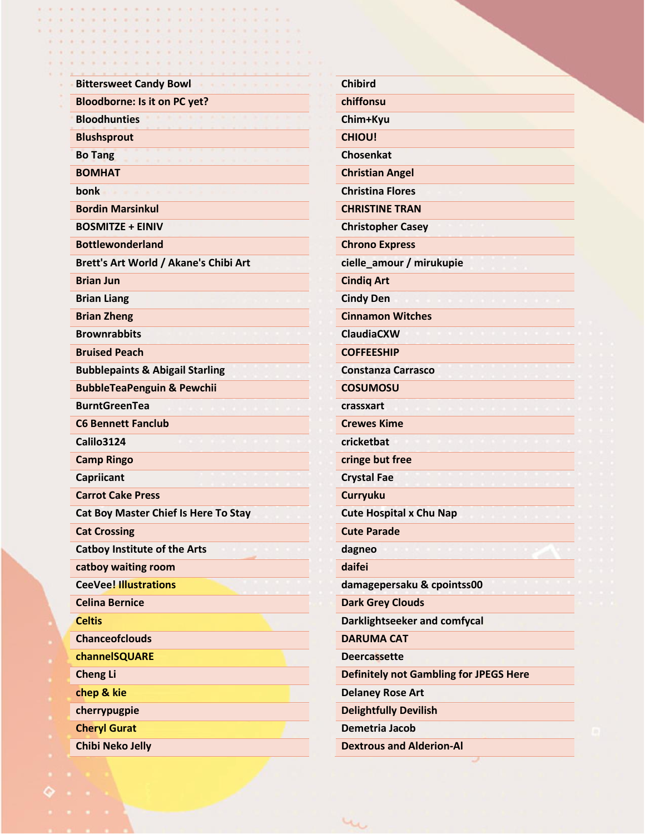| <b>Bittersweet Candy Bowl</b>               | <b>Chibird</b>                                |
|---------------------------------------------|-----------------------------------------------|
| <b>Bloodborne: Is it on PC yet?</b>         | chiffonsu                                     |
| <b>Bloodhunties</b>                         | Chim+Kyu                                      |
| <b>Blushsprout</b>                          | <b>CHIOU!</b>                                 |
| <b>Bo Tang</b>                              | <b>Chosenkat</b>                              |
| <b>BOMHAT</b>                               | <b>Christian Angel</b>                        |
| bonk                                        | <b>Christina Flores</b>                       |
| <b>Bordin Marsinkul</b>                     | <b>CHRISTINE TRAN</b>                         |
| <b>BOSMITZE + EINIV</b>                     | <b>Christopher Casey</b>                      |
| <b>Bottlewonderland</b>                     | <b>Chrono Express</b>                         |
| Brett's Art World / Akane's Chibi Art       | cielle_amour / mirukupie                      |
| <b>Brian Jun</b>                            | <b>Cindig Art</b>                             |
| <b>Brian Liang</b>                          | <b>Cindy Den</b>                              |
| <b>Brian Zheng</b>                          | <b>Cinnamon Witches</b>                       |
| <b>Brownrabbits</b>                         | <b>ClaudiaCXW</b>                             |
| <b>Bruised Peach</b>                        | <b>COFFEESHIP</b>                             |
| <b>Bubblepaints &amp; Abigail Starling</b>  | <b>Constanza Carrasco</b>                     |
| <b>BubbleTeaPenguin &amp; Pewchii</b>       | <b>COSUMOSU</b>                               |
| <b>BurntGreenTea</b>                        | crassxart                                     |
| <b>C6 Bennett Fanclub</b>                   | <b>Crewes Kime</b>                            |
| <b>Calilo3124</b>                           | cricketbat                                    |
| <b>Camp Ringo</b>                           | cringe but free                               |
| Capriicant                                  | <b>Crystal Fae</b>                            |
| <b>Carrot Cake Press</b>                    | <b>Curryuku</b>                               |
| <b>Cat Boy Master Chief Is Here To Stay</b> | <b>Cute Hospital x Chu Nap</b>                |
| <b>Cat Crossing</b>                         | <b>Cute Parade</b>                            |
| <b>Catboy Institute of the Arts</b>         | dagneo                                        |
| catboy waiting room                         | daifei                                        |
| <b>CeeVee! Illustrations</b>                | damagepersaku & cpointss00                    |
| <b>Celina Bernice</b>                       | <b>Dark Grey Clouds</b>                       |
| <b>Celtis</b>                               | Darklightseeker and comfycal                  |
| <b>Chanceofclouds</b>                       | <b>DARUMA CAT</b>                             |
| channelSQUARE                               | <b>Deercassette</b>                           |
| <b>Cheng Li</b>                             | <b>Definitely not Gambling for JPEGS Here</b> |
| chep & kie                                  | <b>Delaney Rose Art</b>                       |
| cherrypugpie                                | <b>Delightfully Devilish</b>                  |
| <b>Cheryl Gurat</b>                         | Demetria Jacob                                |
| <b>Chibi Neko Jelly</b>                     | <b>Dextrous and Alderion-Al</b>               |

 $40$ 

 $\sim$   $\sim$  $\mathbf{R}$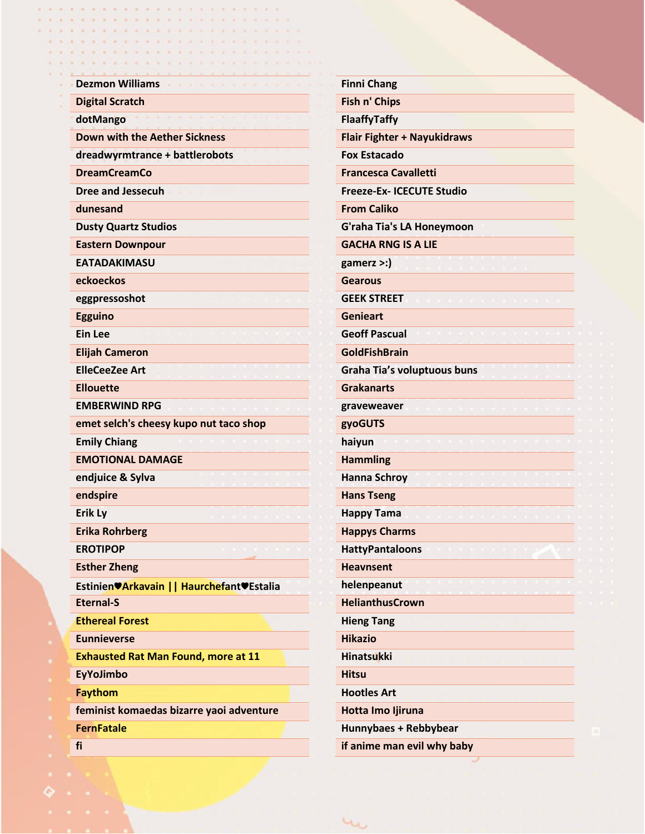| <b>Dezmon Williams</b>                      | <b>Finni Chang</b>                 |
|---------------------------------------------|------------------------------------|
| <b>Digital Scratch</b>                      | Fish n' Chips                      |
| dotMango                                    | FlaaffyTaffy                       |
| <b>Down with the Aether Sickness</b>        | <b>Flair Fighter + Nayukidraws</b> |
| dreadwyrmtrance + battlerobots              | <b>Fox Estacado</b>                |
| <b>DreamCreamCo</b>                         | <b>Francesca Cavalletti</b>        |
| <b>Dree and Jessecuh</b>                    | <b>Freeze-Ex- ICECUTE Studio</b>   |
| dunesand                                    | <b>From Caliko</b>                 |
| <b>Dusty Quartz Studios</b>                 | G'raha Tia's LA Honeymoon          |
| <b>Eastern Downpour</b>                     | <b>GACHA RNG IS A LIE</b>          |
| <b>EATADAKIMASU</b>                         | $game$ rz >:)                      |
| eckoeckos                                   | Gearous                            |
| eggpressoshot                               | <b>GEEK STREET</b>                 |
| <b>Egguino</b>                              | <b>Genieart</b>                    |
| <b>Ein Lee</b>                              | <b>Geoff Pascual</b>               |
| <b>Elijah Cameron</b>                       | <b>GoldFishBrain</b>               |
| <b>ElleCeeZee Art</b>                       | Graha Tia's voluptuous buns        |
| <b>Ellouette</b>                            | <b>Grakanarts</b>                  |
| <b>EMBERWIND RPG</b>                        | graveweaver                        |
| emet selch's cheesy kupo nut taco shop      | gyoGUTS                            |
| <b>Emily Chiang</b>                         | haiyun                             |
| <b>EMOTIONAL DAMAGE</b>                     | <b>Hammling</b>                    |
| endjuice & Sylva                            | <b>Hanna Schroy</b>                |
| endspire                                    | <b>Hans Tseng</b>                  |
| <b>Erik Ly</b>                              | <b>Happy Tama</b>                  |
| <b>Erika Rohrberg</b>                       | <b>Happys Charms</b>               |
| <b>EROTIPOP</b>                             | <b>HattyPantaloons</b>             |
| <b>Esther Zheng</b>                         | <b>Heavnsent</b>                   |
| Estinien VArkavain     Haurchefant VEstalia | helenpeanut                        |
| <b>Eternal-S</b>                            | <b>HelianthusCrown</b>             |
| <b>Ethereal Forest</b>                      | <b>Hieng Tang</b>                  |
| <b>Eunnieverse</b>                          | <b>Hikazio</b>                     |
| <b>Exhausted Rat Man Found, more at 11</b>  | <b>Hinatsukki</b>                  |
| <b>EyYoJimbo</b>                            | <b>Hitsu</b>                       |
| <b>Faythom</b>                              | <b>Hootles Art</b>                 |
| feminist komaedas bizarre yaoi adventure    | Hotta Imo Ijiruna                  |
| <b>FernFatale</b>                           | Hunnybaes + Rebbybear              |

un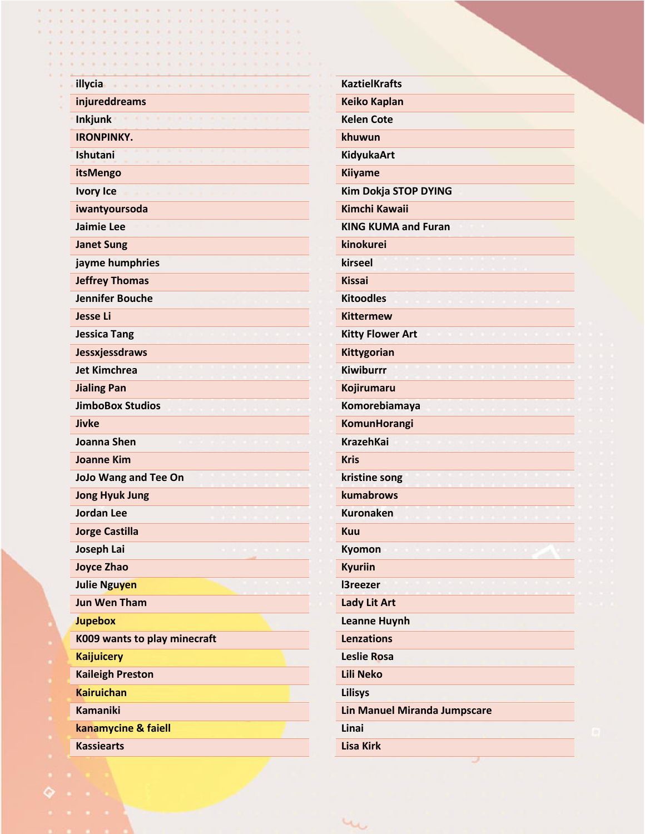| illycia                      | <b>KaztielKrafts</b>                |
|------------------------------|-------------------------------------|
| injureddreams                | <b>Keiko Kaplan</b>                 |
| <b>Inkjunk</b>               | <b>Kelen Cote</b>                   |
| <b>IRONPINKY.</b>            | khuwun                              |
| Ishutani                     | <b>KidyukaArt</b>                   |
| itsMengo                     | Kiiyame                             |
| <b>Ivory Ice</b>             | Kim Dokja STOP DYING                |
| iwantyoursoda                | <b>Kimchi Kawaii</b>                |
| Jaimie Lee                   | <b>KING KUMA and Furan</b>          |
| <b>Janet Sung</b>            | kinokurei                           |
| jayme humphries              | kirseel                             |
| <b>Jeffrey Thomas</b>        | <b>Kissai</b>                       |
| <b>Jennifer Bouche</b>       | <b>Kitoodles</b>                    |
| <b>Jesse Li</b>              | <b>Kittermew</b>                    |
| <b>Jessica Tang</b>          | <b>Kitty Flower Art</b>             |
| Jessxjessdraws               | Kittygorian                         |
| <b>Jet Kimchrea</b>          | <b>Kiwiburrr</b>                    |
| <b>Jialing Pan</b>           | Kojirumaru                          |
| <b>JimboBox Studios</b>      | Komorebiamaya                       |
| Jivke                        | KomunHorangi                        |
| <b>Joanna Shen</b>           | <b>KrazehKai</b>                    |
| <b>Joanne Kim</b>            | <b>Kris</b>                         |
| <b>JoJo Wang and Tee On</b>  | kristine song                       |
| <b>Jong Hyuk Jung</b>        | kumabrows                           |
| <b>Jordan Lee</b>            | <b>Kuronaken</b>                    |
| <b>Jorge Castilla</b>        | <b>Kuu</b>                          |
| Joseph Lai                   | Kyomon                              |
| <b>Joyce Zhao</b>            | <b>Kyuriin</b>                      |
| <b>Julie Nguyen</b>          | <b>I3reezer</b>                     |
| <b>Jun Wen Tham</b>          | <b>Lady Lit Art</b>                 |
| <b>Jupebox</b>               | <b>Leanne Huynh</b>                 |
| K009 wants to play minecraft | <b>Lenzations</b>                   |
| <b>Kaijuicery</b>            | Leslie Rosa                         |
| <b>Kaileigh Preston</b>      | <b>Lili Neko</b>                    |
| <b>Kairuichan</b>            | <b>Lilisys</b>                      |
| <b>Kamaniki</b>              | <b>Lin Manuel Miranda Jumpscare</b> |
| kanamycine & faiell          | Linai                               |

 $u_{\mathbf{u}}$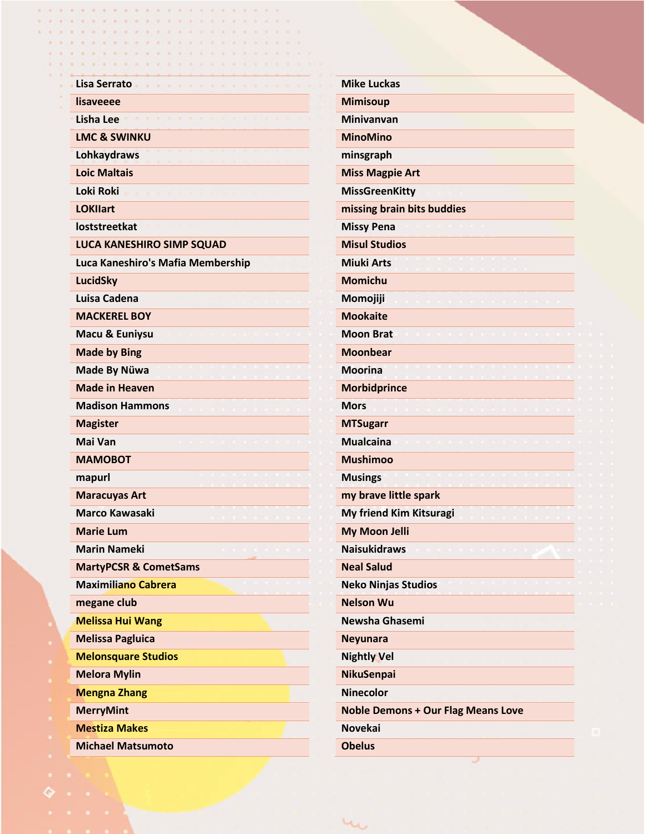| Lisa Serrato                      | <b>Mike Luckas</b>                        |
|-----------------------------------|-------------------------------------------|
| lisaveeee                         | <b>Mimisoup</b>                           |
| <b>Lisha Lee</b>                  | <b>Minivanvan</b>                         |
| <b>LMC &amp; SWINKU</b>           | <b>MinoMino</b>                           |
| Lohkaydraws                       | minsgraph                                 |
| <b>Loic Maltais</b>               | <b>Miss Magpie Art</b>                    |
| <b>Loki Roki</b>                  | <b>MissGreenKitty</b>                     |
| <b>LOKIIart</b>                   | missing brain bits buddies                |
| loststreetkat                     | <b>Missy Pena</b>                         |
| <b>LUCA KANESHIRO SIMP SQUAD</b>  | <b>Misul Studios</b>                      |
| Luca Kaneshiro's Mafia Membership | <b>Miuki Arts</b>                         |
| <b>LucidSky</b>                   | <b>Momichu</b>                            |
| Luisa Cadena                      | Momojiji                                  |
| <b>MACKEREL BOY</b>               | <b>Mookaite</b>                           |
| Macu & Euniysu                    | <b>Moon Brat</b>                          |
| <b>Made by Bing</b>               | <b>Moonbear</b>                           |
| Made By Nüwa                      | <b>Moorina</b>                            |
| <b>Made in Heaven</b>             | <b>Morbidprince</b>                       |
| <b>Madison Hammons</b>            | <b>Mors</b>                               |
| <b>Magister</b>                   | <b>MTSugarr</b>                           |
| Mai Van                           | <b>Mualcaina</b>                          |
| <b>MAMOBOT</b>                    | <b>Mushimoo</b>                           |
| mapurl                            | <b>Musings</b>                            |
| <b>Maracuyas Art</b>              | my brave little spark                     |
| <b>Marco Kawasaki</b>             | My friend Kim Kitsuragi                   |
| <b>Marie Lum</b>                  | <b>My Moon Jelli</b>                      |
| <b>Marin Nameki</b>               | <b>Naisukidraws</b>                       |
| <b>MartyPCSR &amp; CometSams</b>  | <b>Neal Salud</b>                         |
| <b>Maximiliano Cabrera</b>        | <b>Neko Ninjas Studios</b>                |
| megane club                       | <b>Nelson Wu</b>                          |
| <b>Melissa Hui Wang</b>           | Newsha Ghasemi                            |
| <b>Melissa Pagluica</b>           | <b>Neyunara</b>                           |
| <b>Melonsquare Studios</b>        | <b>Nightly Vel</b>                        |
| <b>Melora Mylin</b>               | <b>NikuSenpai</b>                         |
| <b>Mengna Zhang</b>               | <b>Ninecolor</b>                          |
| <b>MerryMint</b>                  | <b>Noble Demons + Our Flag Means Love</b> |
| <b>Mestiza Makes</b>              | <b>Novekai</b>                            |
| <b>Michael Matsumoto</b>          | <b>Obelus</b>                             |

un.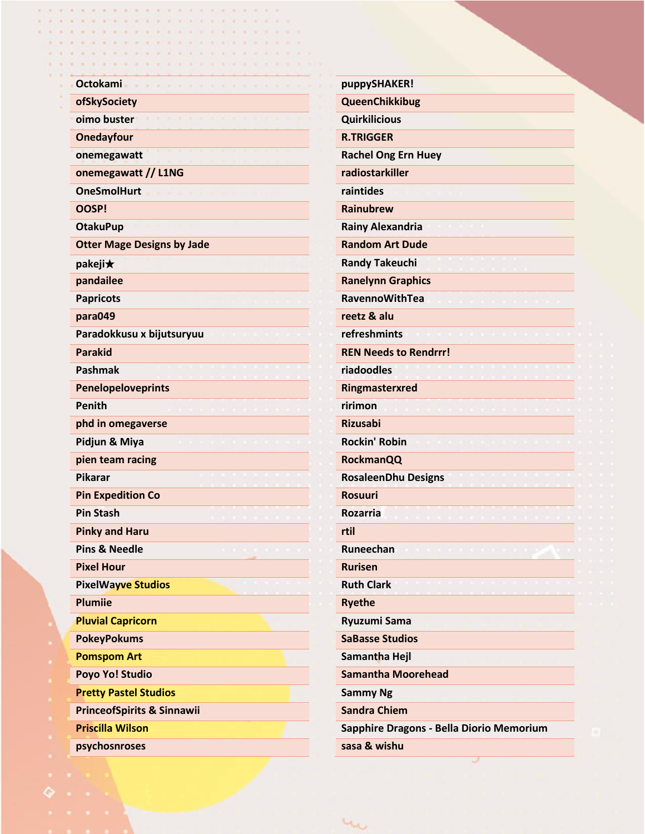| <b>Octokami</b>                       | puppySHAKER!                             |
|---------------------------------------|------------------------------------------|
| ofSkySociety                          | QueenChikkibug                           |
| oimo buster                           | <b>Quirkilicious</b>                     |
| <b>Onedayfour</b>                     | <b>R.TRIGGER</b>                         |
| onemegawatt                           | <b>Rachel Ong Ern Huey</b>               |
| onemegawatt // L1NG                   | radiostarkiller                          |
| <b>OneSmolHurt</b>                    | raintides                                |
| OOSP!                                 | <b>Rainubrew</b>                         |
| <b>OtakuPup</b>                       | <b>Rainy Alexandria</b>                  |
| <b>Otter Mage Designs by Jade</b>     | <b>Random Art Dude</b>                   |
|                                       | <b>Randy Takeuchi</b>                    |
| pakeji★<br>pandailee                  | <b>Ranelynn Graphics</b>                 |
| <b>Papricots</b>                      | <b>RavennoWithTea</b>                    |
| para049                               | reetz & alu                              |
| Paradokkusu x bijutsuryuu             | refreshmints                             |
| <b>Parakid</b>                        | <b>REN Needs to Rendrrr!</b>             |
| Pashmak                               | riadoodles                               |
| Penelopeloveprints                    | Ringmasterxred                           |
| Penith                                | ririmon                                  |
| phd in omegaverse                     | <b>Rizusabi</b>                          |
| Pidjun & Miya                         | <b>Rockin' Robin</b>                     |
| pien team racing                      | <b>RockmanQQ</b>                         |
| <b>Pikarar</b>                        | <b>RosaleenDhu Designs</b>               |
| <b>Pin Expedition Co</b>              | <b>Rosuuri</b>                           |
| <b>Pin Stash</b>                      | <b>Rozarria</b>                          |
| <b>Pinky and Haru</b>                 | rtil                                     |
| <b>Pins &amp; Needle</b>              | Runeechan                                |
| <b>Pixel Hour</b>                     | <b>Rurisen</b>                           |
| <b>PixelWayve Studios</b>             | <b>Ruth Clark</b>                        |
| <b>Plumiie</b>                        | <b>Ryethe</b>                            |
| <b>Pluvial Capricorn</b>              | <b>Ryuzumi Sama</b>                      |
| <b>PokeyPokums</b>                    | <b>SaBasse Studios</b>                   |
| <b>Pomspom Art</b>                    | Samantha Hejl                            |
| Poyo Yo! Studio                       | <b>Samantha Moorehead</b>                |
| <b>Pretty Pastel Studios</b>          | <b>Sammy Ng</b>                          |
| <b>PrinceofSpirits &amp; Sinnawii</b> | <b>Sandra Chiem</b>                      |
| <b>Priscilla Wilson</b>               | Sapphire Dragons - Bella Diorio Memorium |

 $\mu_{\rm O}$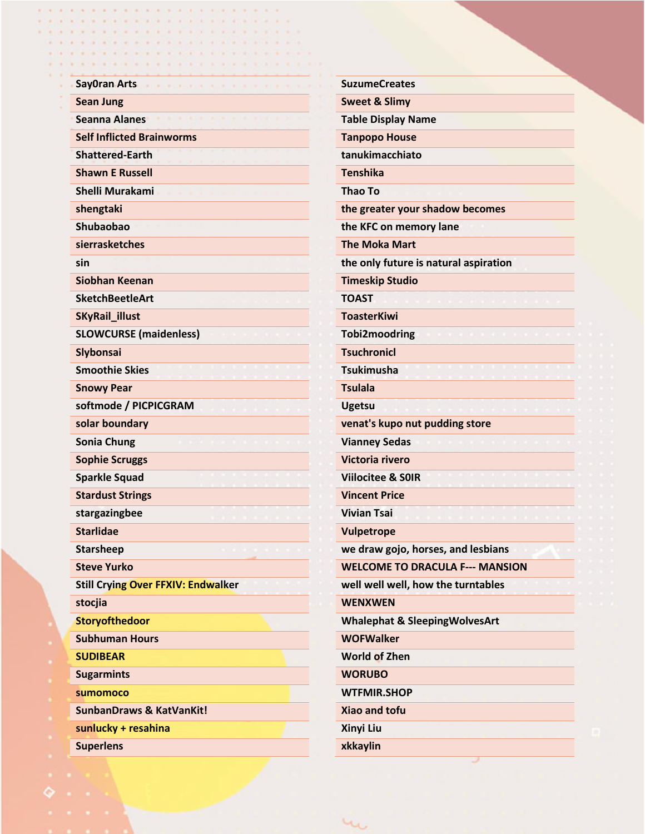| <b>SayOran Arts</b>                       | <b>SuzumeCreates</b>                     |
|-------------------------------------------|------------------------------------------|
| <b>Sean Jung</b>                          | <b>Sweet &amp; Slimy</b>                 |
| <b>Seanna Alanes</b>                      | <b>Table Display Name</b>                |
| <b>Self Inflicted Brainworms</b>          | <b>Tanpopo House</b>                     |
| <b>Shattered-Earth</b>                    | tanukimacchiato                          |
| <b>Shawn E Russell</b>                    | <b>Tenshika</b>                          |
| <b>Shelli Murakami</b>                    | <b>Thao To</b>                           |
| shengtaki                                 | the greater your shadow becomes          |
| Shubaobao                                 | the KFC on memory lane                   |
| sierrasketches                            | <b>The Moka Mart</b>                     |
| sin                                       | the only future is natural aspiration    |
| Siobhan Keenan                            | <b>Timeskip Studio</b>                   |
| <b>SketchBeetleArt</b>                    | <b>TOAST</b>                             |
| SKyRail_illust                            | <b>ToasterKiwi</b>                       |
| <b>SLOWCURSE</b> (maidenless)             | <b>Tobi2moodring</b>                     |
| Slybonsai                                 | <b>Tsuchronicl</b>                       |
| <b>Smoothie Skies</b>                     | <b>Tsukimusha</b>                        |
| <b>Snowy Pear</b>                         | <b>Tsulala</b>                           |
| softmode / PICPICGRAM                     | <b>Ugetsu</b>                            |
| solar boundary                            | venat's kupo nut pudding store           |
| <b>Sonia Chung</b>                        | <b>Vianney Sedas</b>                     |
| <b>Sophie Scruggs</b>                     | Victoria rivero                          |
| <b>Sparkle Squad</b>                      | <b>Viilocitee &amp; SOIR</b>             |
| <b>Stardust Strings</b>                   | <b>Vincent Price</b>                     |
| stargazingbee                             | <b>Vivian Tsai</b>                       |
| <b>Starlidae</b>                          | <b>Vulpetrope</b>                        |
| <b>Starsheep</b>                          | we draw gojo, horses, and lesbians       |
| <b>Steve Yurko</b>                        | <b>WELCOME TO DRACULA F--- MANSION</b>   |
| <b>Still Crying Over FFXIV: Endwalker</b> | well well well, how the turntables       |
| stocjia                                   | <b>WENXWEN</b>                           |
| <b>Storyofthedoor</b>                     | <b>Whalephat &amp; SleepingWolvesArt</b> |
| <b>Subhuman Hours</b>                     | <b>WOFWalker</b>                         |
| <b>SUDIBEAR</b>                           | <b>World of Zhen</b>                     |
| <b>Sugarmints</b>                         | <b>WORUBO</b>                            |
| sumomoco                                  | <b>WTFMIR.SHOP</b>                       |
| <b>SunbanDraws &amp; KatVanKit!</b>       | <b>Xiao and tofu</b>                     |
| sunlucky + resahina                       | Xinyi Liu                                |
| <b>Superlens</b>                          | xkkaylin                                 |

 $u_{\mathbf{u}}$ 

. . . . . . . . . . . . . . . .

 $\epsilon$ x